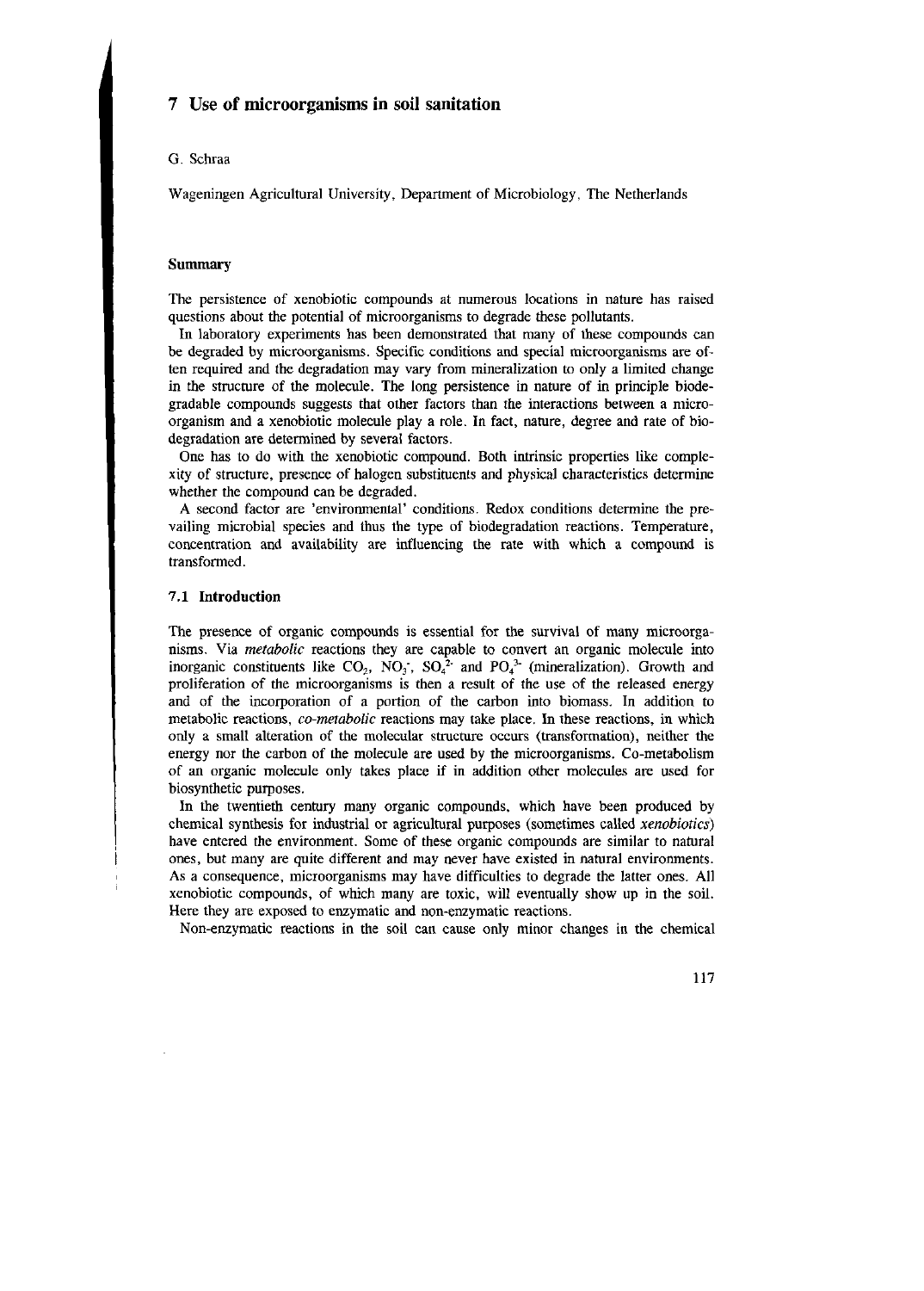## 7 Use of microorganisms in soil sanitation

### G. Schraa

Wageningen Agricultural University, Department of Microbiology, The Netherlands

### **Summary**

The persistence of xenobiotic compounds at numerous locations in nature has raised questions about the potential of microorganisms to degrade these pollutants.

In laboratory experiments has been demonstrated that many of these compounds can be degraded by microorganisms. Specific conditions and special microorganisms are often required and the degradation may vary from mineralization to only a limited change in the structure of the molecule. The long persistence in nature of in principle biodegradable compounds suggests that other factors than the interactions between a microorganism and a xenobiotic molecule play a role. In fact, nature, degree and rate of biodegradation are determined by several factors.

One has to do with the xenobiotic compound. Both intrinsic properties like complexity of structure, presence of halogen substituents and physical characteristics determine whether the compound can be degraded.

A second factor are 'environmental' conditions. Redox conditions determine the prevailing microbial species and thus the type of biodégradation reactions. Temperature, concentration and availability are influencing the rate with which a compound is transformed.

# **7.1 Introduction**

The presence of organic compounds is essential for the survival of many microorganisms. Via *metabolic* reactions they are capable to convert an organic molecule into inorganic constituents like  $CO_2$ , NO<sub>3</sub>, SO<sub>4</sub><sup>2</sup> and PO<sub>4</sub><sup>3</sup> (mineralization). Growth proliferation of the microorganisms is then a result of the use of the released energy and of the incorporation of a portion of the carbon into biomass. In addition to metabolic reactions, *co-metabolic* reactions may take place. In these reactions, in which only a small alteration of the molecular structure occurs (transformation), neither the energy nor the carbon of the molecule are used by the microorganisms. Co-metabolism of an organic molecule only takes place if in addition other molecules are used for biosynthetic purposes.

In the twentieth century many organic compounds, which have been produced by chemical synthesis for industrial or agricultural purposes (sometimes called *xenobiotics)*  have entered the environment. Some of these organic compounds are similar to natural ones, but many are quite different and may never have existed in natural environments. As a consequence, microorganisms may have difficulties to degrade the latter ones. All xenobiotic compounds, of which many are toxic, will eventually show up in the soil. Here they are exposed to enzymatic and non-enzymatic reactions.

Non-enzymatic reactions in the soil can cause only minor changes in the chemical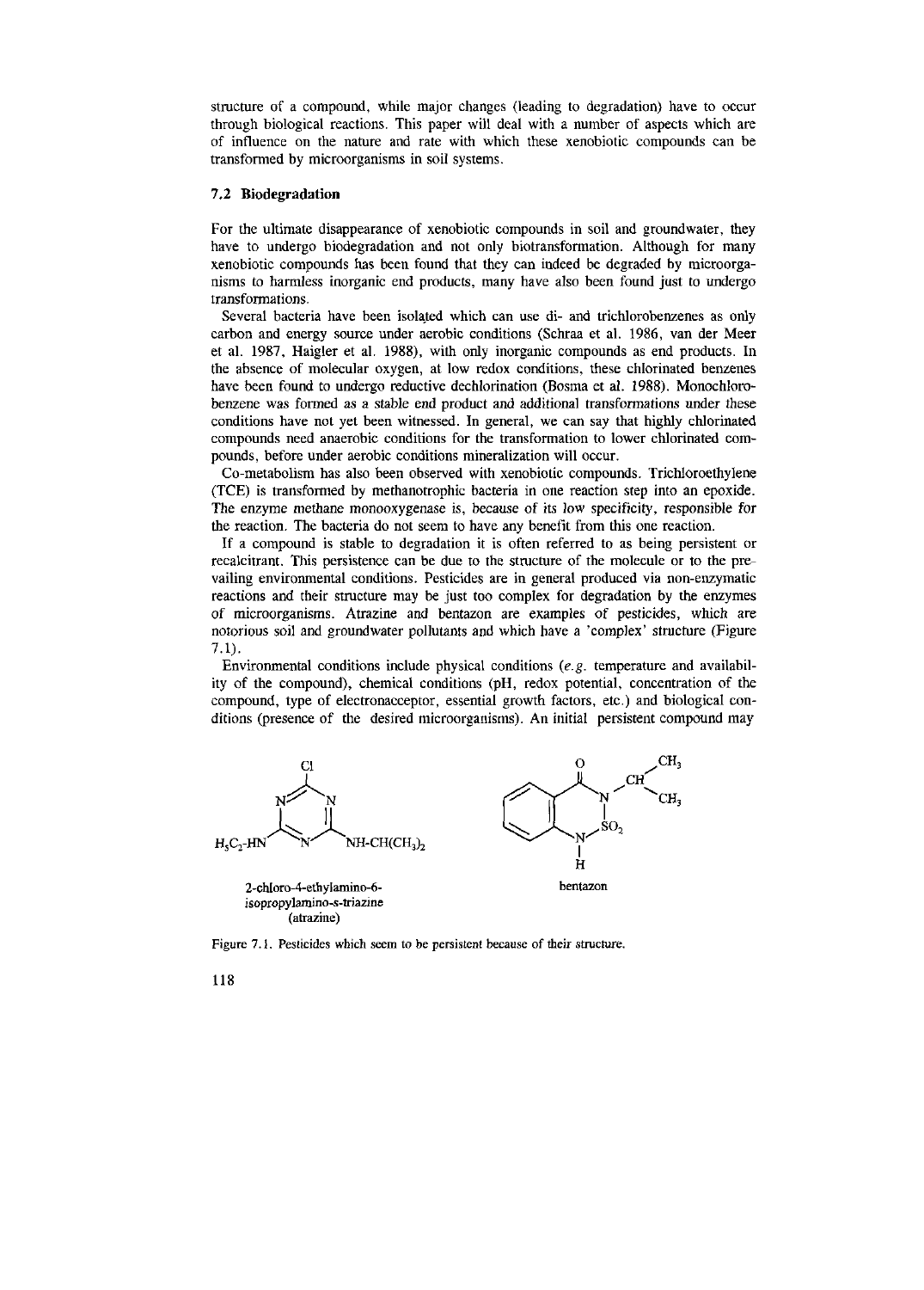structure of a compound, while major changes (leading to degradation) have to occur through biological reactions. This paper will deal with a number of aspects which are of influence on the nature and rate with which these xenobiotic compounds can be transformed by microorganisms in soil systems.

### **7.2 Biodegradation**

For the ultimate disappearance of xenobiotic compounds in soil and groundwater, they have to undergo biodégradation and not only biotransformation. Although for many xenobiotic compounds has been found that they can indeed be degraded by microorganisms to harmless inorganic end products, many have also been found just to undergo transformations.

Several bacteria have been isolated which can use di- and trichlorobenzenes as only carbon and energy source under aerobic conditions (Schraa et al. 1986, van der Meer et al. 1987, Haigier et al. 1988), with only inorganic compounds as end products. In the absence of molecular oxygen, at low redox conditions, these chlorinated benzenes have been found to undergo reductive dechlorination (Bosma et al. 1988). Monochlorobenzene was formed as a stable end product and additional transformations under these conditions have not yet been witnessed. In general, we can say that highly chlorinated compounds need anaerobic conditions for the transformation to lower chlorinated compounds, before under aerobic conditions mineralization will occur.

Co-metabolism has also been observed with xenobiotic compounds. Trichloroethylene (TCE) is transformed by methanotrophic bacteria in one reaction step into an epoxide. The enzyme methane monooxygenäse is, because of its low specificity, responsible for the reaction. The bacteria do not seem to have any benefit from this one reaction.

If a compound is stable to degradation it is often referred to as being persistent or recalcitrant. This persistence can be due to the structure of the molecule or to the prevailing environmental conditions. Pesticides are in general produced via non-enzymatic reactions and their structure may be just too complex for degradation by the enzymes of microorganisms. Atrazine and bentazon are examples of pesticides, which are notorious soil and groundwater pollutants and which have a 'complex' structure (Figure 7.1).

Environmental conditions include physical conditions *(e.g.* temperature and availability of the compound), chemical conditions (pH, redox potential, concentration of the compound, type of electronacceptor, essential growth factors, etc.) and biological conditions (presence of the desired microorganisms). An initial persistent compound may



Figure 7.1. Pesticides which seem to be persistent because of their structure.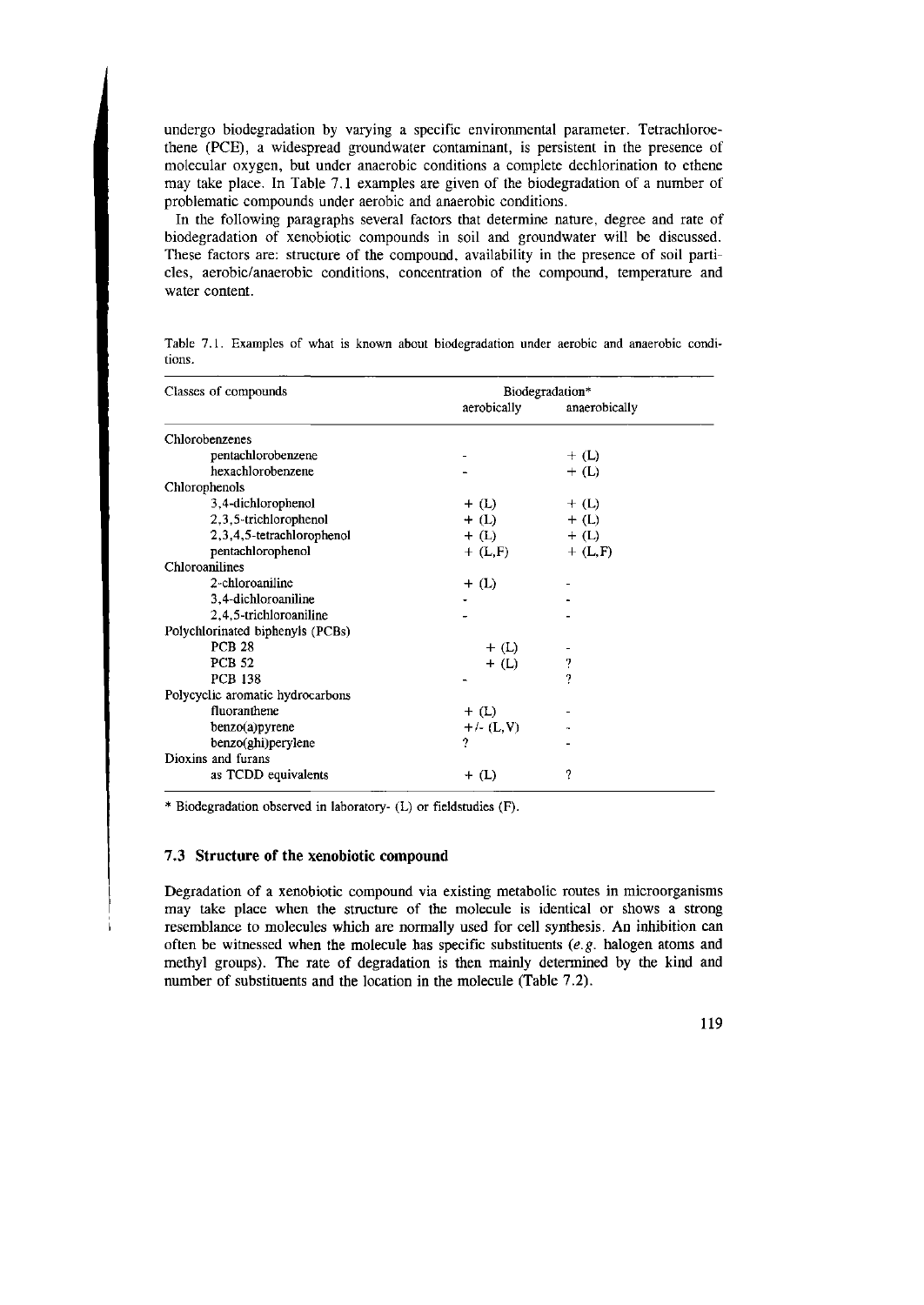undergo biodégradation by varying a specific environmental parameter. Tetrachloroethene (PCE), a widespread groundwater contaminant, is persistent in the presence of molecular oxygen, but under anaerobic conditions a complete dechlorination to ethene may take place. In Table 7.1 examples are given of the biodégradation of a number of problematic compounds under aerobic and anaerobic conditions.

In the following paragraphs several factors that determine nature, degree and rate of biodégradation of xenobiotic compounds in soil and groundwater will be discussed. These factors are: structure of the compound, availability in the presence of soil particles, aerobic/anaerobic conditions, concentration of the compound, temperature and water content.

| Classes of compounds             |              | Biodegradation* |  |
|----------------------------------|--------------|-----------------|--|
|                                  | aerobically  | anaerobically   |  |
| Chlorobenzenes                   |              |                 |  |
| pentachlorobenzene               |              | $+$ (L)         |  |
| hexachlorobenzene                |              | $+$ (L)         |  |
| Chlorophenols                    |              |                 |  |
| 3,4-dichlorophenol               | $+$ (L)      | $+$ (L)         |  |
| 2,3,5-trichlorophenol            | $+$ (L)      | $+$ (L)         |  |
| 2,3,4,5-tetrachlorophenol        | $+$ (L)      | $+$ (L)         |  |
| pentachlorophenol                | $+$ (L,F)    | $+$ (L,F)       |  |
| Chloroanilines                   |              |                 |  |
| 2-chloroaniline                  | $+$ (L)      |                 |  |
| 3,4-dichloroaniline              |              |                 |  |
| 2,4,5-trichloroaniline           |              |                 |  |
| Polychlorinated biphenyls (PCBs) |              |                 |  |
| <b>PCR 28</b>                    | $+$ (L)      |                 |  |
| <b>PCB 52</b>                    | $+$ (L)      | ?               |  |
| <b>PCB 138</b>                   |              | 2               |  |
| Polycyclic aromatic hydrocarbons |              |                 |  |
| fluoranthene                     | $+$ (L)      |                 |  |
| benzo(a)pyrene                   | $+/- (L, V)$ |                 |  |
| benzo(ghi)perylene               | 7            |                 |  |
| Dioxins and furans               |              |                 |  |
| as TCDD equivalents              | $+$ (L)      | ?               |  |

Table 7.1. Examples of what is known about biodégradation under aerobic and anaerobic conditions.

Biodegradation observed in laboratory- (L) or fieldstudies (F).

#### **7.3 Structure of the xenobiotic compound**

Degradation of a xenobiotic compound via existing metabolic routes in microorganisms may take place when the structure of the molecule is identical or shows a strong resemblance to molecules which are normally used for cell synthesis. An inhibition can often be witnessed when the molecule has specific substituents *(e.g.* halogen atoms and methyl groups). The rate of degradation is then mainly determined by the kind and number of substituents and the location in the molecule (Table 7.2).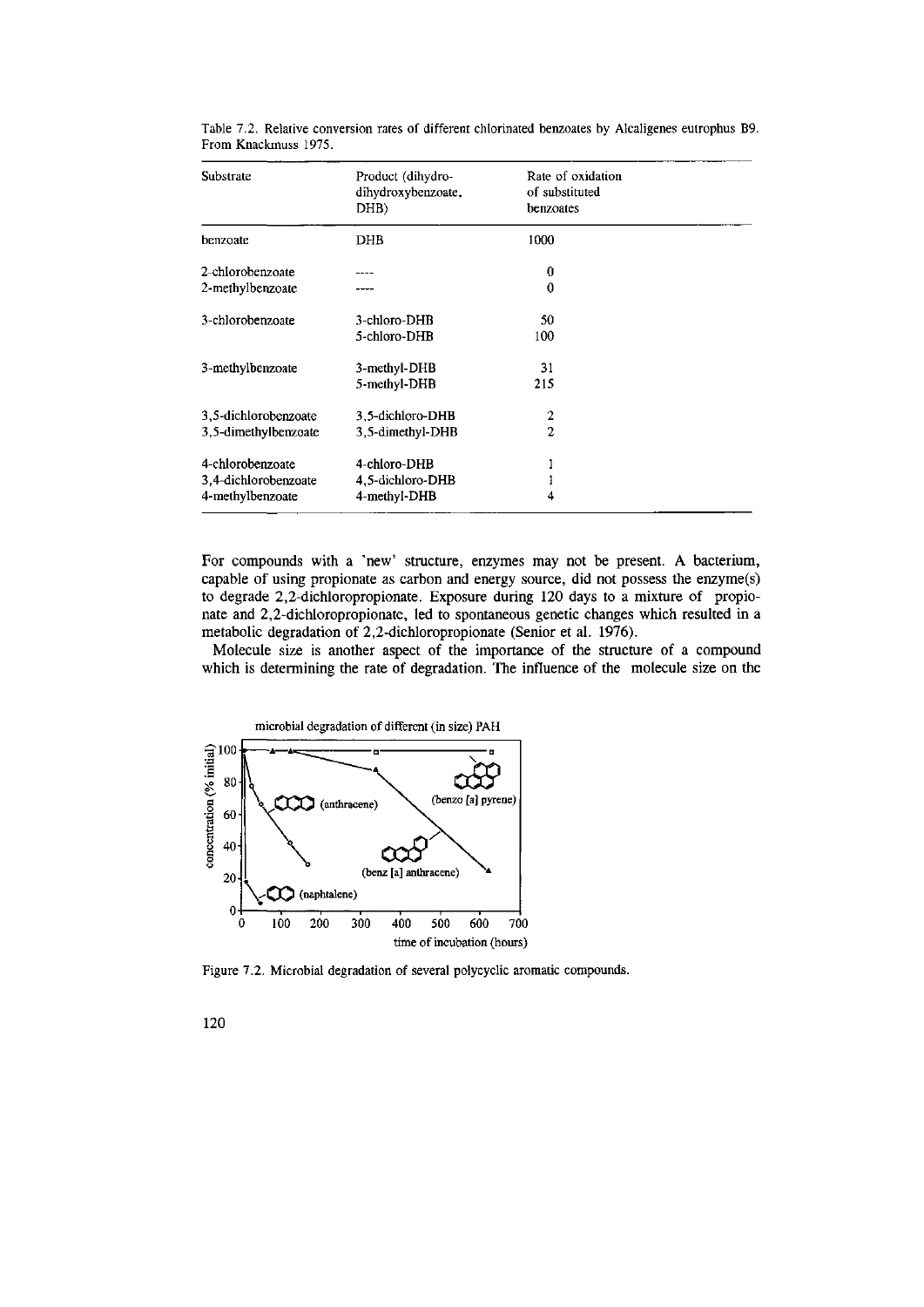| Substrate            | Product (dihydro-<br>dihydroxybenzoate,<br>DHB) | Rate of oxidation<br>of substituted<br>benzoates |  |
|----------------------|-------------------------------------------------|--------------------------------------------------|--|
| benzoate             | DHB                                             | 1000                                             |  |
| 2-chlorobenzoate     |                                                 | $\boldsymbol{0}$                                 |  |
| 2-methylbenzoate     |                                                 | 0                                                |  |
| 3-chlorobenzoate     | 3-chloro-DHB                                    | 50                                               |  |
|                      | 5-chloro-DHB                                    | 100                                              |  |
| 3-methylbenzoate     | 3-methyl-DHB                                    | 31                                               |  |
|                      | 5-methyl-DHB                                    | 215                                              |  |
| 3,5-dichlorobenzoate | 3.5-dichloro-DHB                                | 2                                                |  |
| 3,5-dimethylbenzoate | 3,5-dimethyl-DHB                                | $\mathbf{2}$                                     |  |
| 4-chlorobenzoate     | 4-chloro-DHB                                    |                                                  |  |
| 3,4-dichlorobenzoate | 4,5-dichloro-DHB                                |                                                  |  |
| 4-methylbenzoate     | 4-methyl-DHB                                    |                                                  |  |

Table 7.2. Relative conversion rates of different chlorinated benzoates by Alcaligenes eutrophus B9. From Knackmuss 1975.

For compounds with a 'new' structure, enzymes may not be present. A bacterium, capable of using propionate as carbon and energy source, did not possess the enzyme(s) to degrade 2,2-dichloropropionate. Exposure during 120 days to a mixture of propionate and 2,2-dichloropropionate, led to spontaneous genetic changes which resulted in a metabolic degradation of 2,2-dichloropropionate (Senior et al. 1976).

Molecule size is another aspect of the importance of the structure of a compound which is determining the rate of degradation. The influence of the molecule size on the



Figure 7.2. Microbial degradation of several polycyclic aromatic compounds.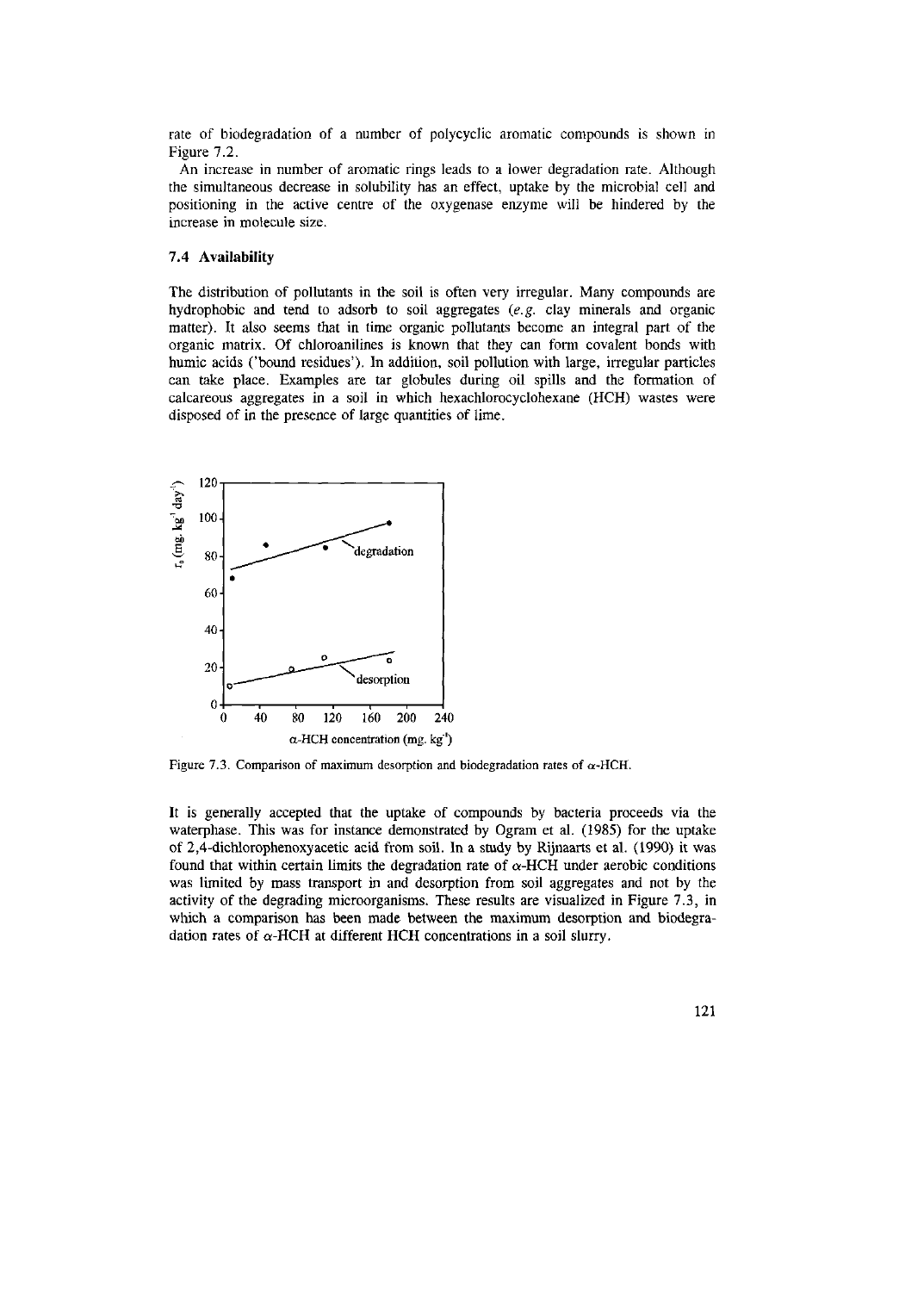rate of biodégradation of a number of polycyclic aromatic compounds is shown in Figure 7.2.

An increase in number of aromatic rings leads to a lower degradation rate. Although the simultaneous decrease in solubility has an effect, uptake by the microbial cell and positioning in the active centre of the oxygenase enzyme will be hindered by the increase in molecule size.

### **7.4 Availability**

The distribution of pollutants in the soil is often very irregular. Many compounds are hydrophobic and tend to adsorb to soil aggregates *(e.g.* clay minerals and organic matter). It also seems that in time organic pollutants become an integral part of the organic matrix. Of chloroanilines is known that they can form covalent bonds with humic acids ('bound residues'). In addition, soil pollution with large, irregular particles can take place. Examples are tar globules during oil spills and the formation of calcareous aggregates in a soil in which hexachlorocyclohexane (HCH) wastes were disposed of in the presence of large quantities of lime.



Figure 7.3. Comparison of maximum desorption and biodegradation rates of  $\alpha$ -HCH.

It is generally accepted that the uptake of compounds by bacteria proceeds via the waterphase. This was for instance demonstrated by Ogram et al. (1985) for the uptake of 2,4-dichlorophenoxyacetic acid from soil. In a study by Rijnaarts et al. (1990) it was found that within certain limits the degradation rate of  $\alpha$ -HCH under aerobic conditions was limited by mass transport in and desorption from soil aggregates and not by the activity of the degrading microorganisms. These results are visualized in Figure 7.3, in which a comparison has been made between the maximum desorption and biodegradation rates of  $\alpha$ -HCH at different HCH concentrations in a soil slurry.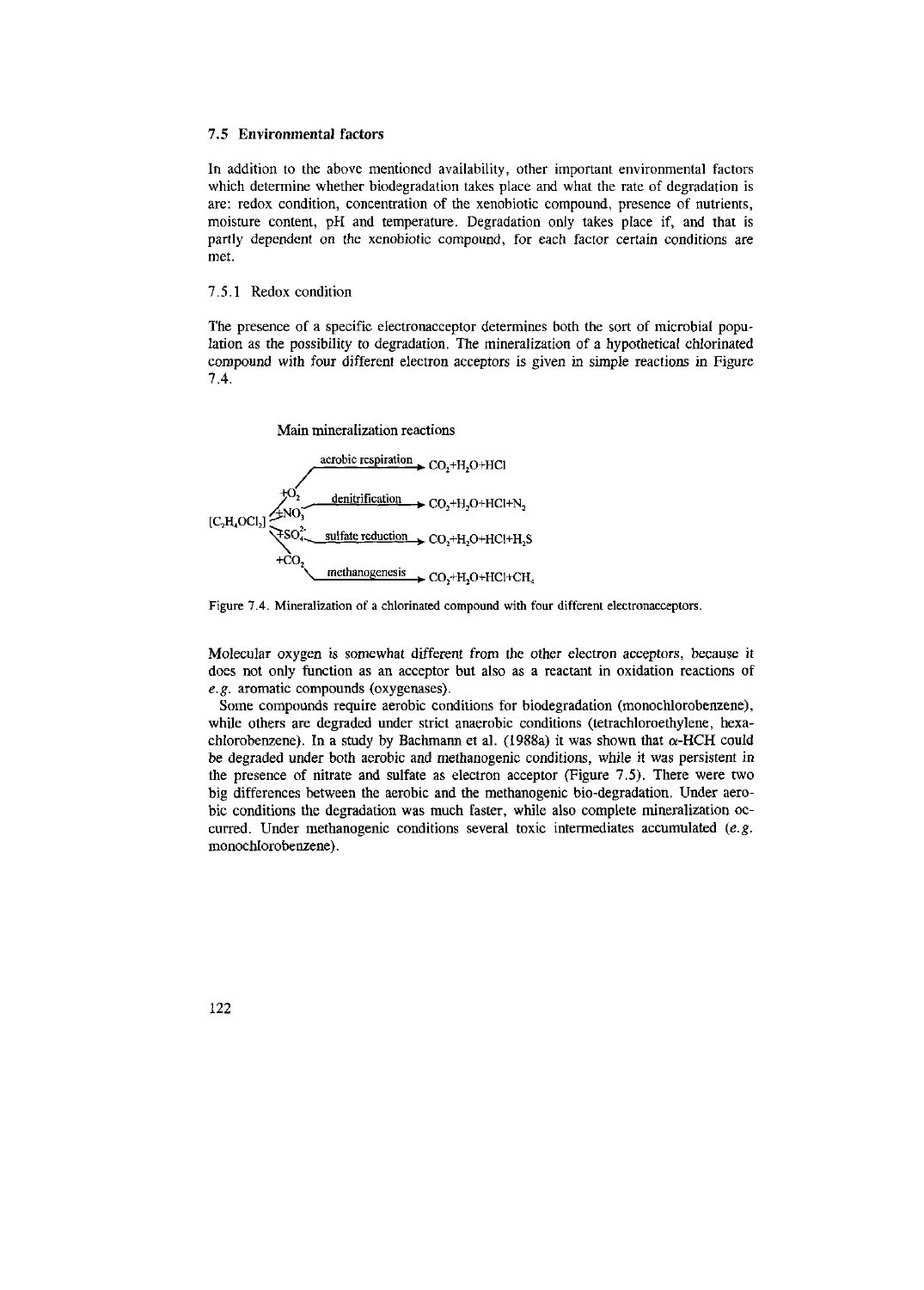### **7.5 Environmental factors**

In addition to the above mentioned availability, other important environmental factors which determine whether biodegradation takes place and what the rate of degradation is are: redox condition, concentration of the xenobiotic compound, presence of nutrients, moisture content, pH and temperature. Degradation only takes place if, and that is partly dependent on the xenobiotic compound, for each factor certain conditions are met.

#### 7.5.1 Redox condition

The presence of a specific electronacceptor determines both the sort of microbial population as the possibility to degradation. The mineralization of a hypothetical chlorinated compound with four different electron acceptors is given in simple reactions in Figure 7.4.

Main mineralization reactions



Figure 7.4. Mineralization of a chlorinated compound with four different electronacceptors.

Molecular oxygen is somewhat different from the other electron acceptors, because it does not only function as an acceptor but also as a reactant in oxidation reactions of *e.g.* aromatic compounds (oxygenases).

Some compounds require aerobic conditions for biodégradation (monochlorobenzene), while others are degraded under strict anaerobic conditions (tetrachloroethylene, hexachlorobenzene). In a study by Bachmann et al. (1988a) it was shown that  $\alpha$ -HCH could be degraded under both aerobic and methanogenic conditions, while it was persistent in the presence of nitrate and sulfate as electron acceptor (Figure 7.5). There were two big differences between the aerobic and the methanogenic bio-degradation. Under aerobic conditions the degradation was much faster, while also complete mineralization occurred. Under methanogenic conditions several toxic intermediates accumulated *(e.g.*  monochlorobenzene).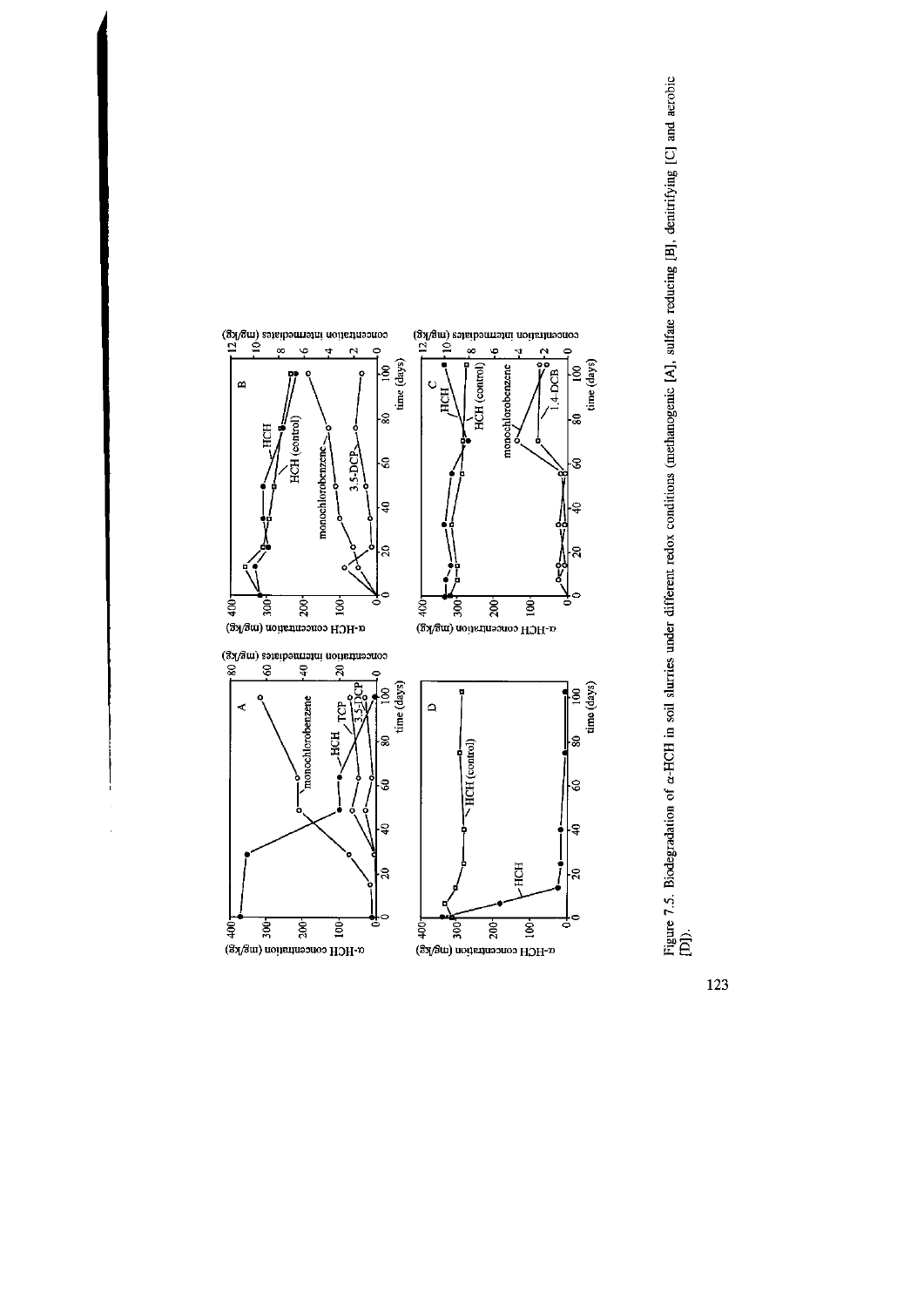![](_page_6_Figure_0.jpeg)

![](_page_6_Figure_1.jpeg)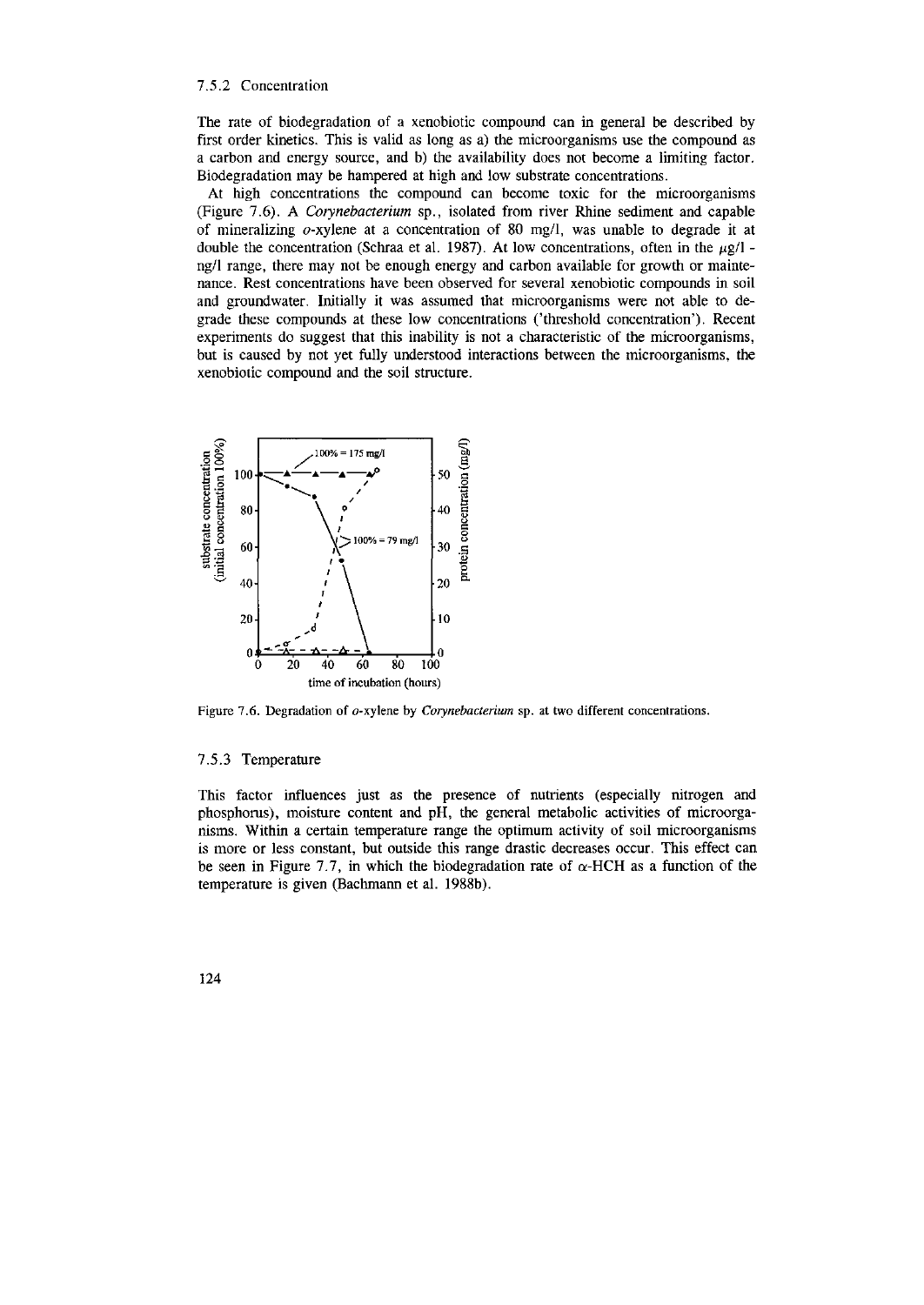#### 7.5.2 Concentration

The rate of biodégradation of a xenobiotic compound can in general be described by first order kinetics. This is valid as long as a) the microorganisms use the compound as a carbon and energy source, and b) the availability does not become a limiting factor. Biodegradation may be hampered at high and low substrate concentrations.

At high concentrations the compound can become toxic for the microorganisms (Figure 7.6). A *Corynebacterium* sp., isolated from river Rhine sediment and capable of mineralizing  $o$ -xylene at a concentration of 80 mg/l, was unable to degrade it at double the concentration (Schraa et al. 1987). At low concentrations, often in the  $\mu$ g/1 ng/1 range, there may not be enough energy and carbon available for growth or maintenance. Rest concentrations have been observed for several xenobiotic compounds in soil and groundwater. Initially it was assumed that microorganisms were not able to degrade these compounds at these low concentrations ('threshold concentration'). Recent experiments do suggest that this inability is not a characteristic of the microorganisms, but is caused by not yet fully understood interactions between the microorganisms, the xenobiotic compound and the soil structure.

![](_page_7_Figure_3.jpeg)

Figure 7.6. Degradation of o-xylene by *Corynebacterium* sp. at two different concentrations.

#### 7.5.3 Temperature

This factor influences just as the presence of nutrients (especially nitrogen and phosphorus), moisture content and pH, the general metabolic activities of microorganisms. Within a certain temperature range the optimum activity of soil microorganisms is more or less constant, but outside this range drastic decreases occur. This effect can be seen in Figure 7.7, in which the biodegradation rate of  $\alpha$ -HCH as a function of the temperature is given (Bachmann et al. 1988b).

![](_page_7_Picture_7.jpeg)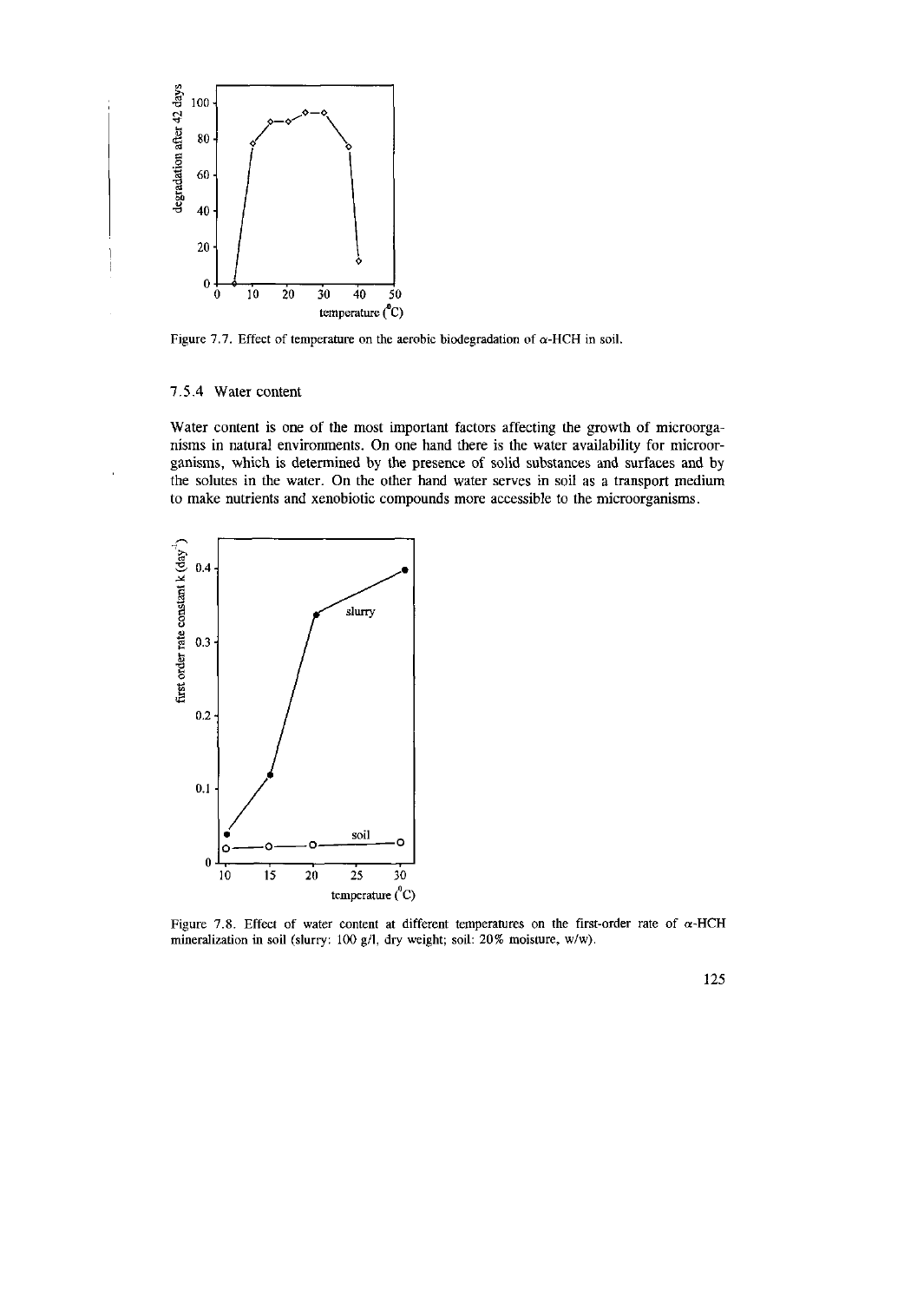![](_page_8_Figure_0.jpeg)

Figure 7.7. Effect of temperature on the aerobic biodegradation of  $\alpha$ -HCH in soil.

## 7.5.4 Water content

Water content is one of the most important factors affecting the growth of microorganisms in natural environments. On one hand there is the water availability for microorganisms, which is determined by the presence of solid substances and surfaces and by the solutes in the water. On the other hand water serves in soil as a transport medium to make nutrients and xenobiotic compounds more accessible to the microorganisms.

![](_page_8_Figure_4.jpeg)

Figure 7.8. Effect of water content at different temperatures on the first-order rate of  $\alpha$ -HCH mineralization in soil (slurry: 100 g/1, dry weight; soil: 20% moisture, w/w).